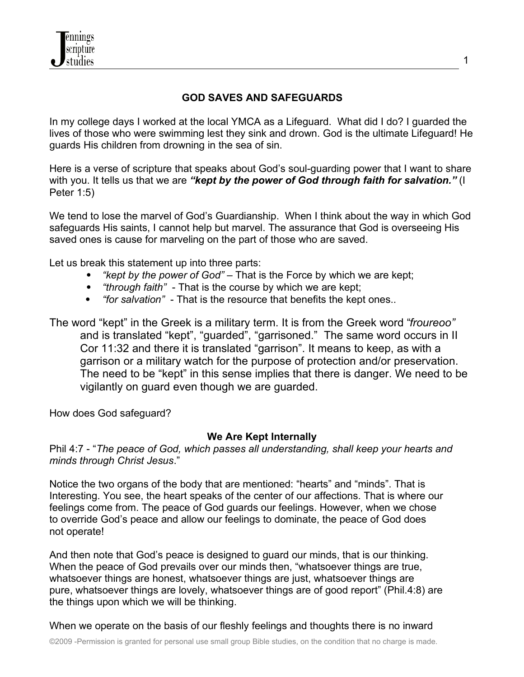

# **GOD SAVES AND SAFEGUARDS**

In my college days I worked at the local YMCA as a Lifeguard. What did I do? I guarded the lives of those who were swimming lest they sink and drown. God is the ultimate Lifeguard! He guards His children from drowning in the sea of sin.

Here is a verse of scripture that speaks about God's soul-guarding power that I want to share with you. It tells us that we are "kept by the power of God through faith for salvation." (I Peter 1:5)

We tend to lose the marvel of God's Guardianship. When I think about the way in which God safeguards His saints, I cannot help but marvel. The assurance that God is overseeing His saved ones is cause for marveling on the part of those who are saved.

Let us break this statement up into three parts:

- *"kept by the power of God"*  That is the Force by which we are kept;
- *"through faith"*  That is the course by which we are kept;
- *"for salvation"*  That is the resource that benefits the kept ones..

The word "kept" in the Greek is a military term. It is from the Greek word "*froureoo"* and is translated "kept", "guarded", "garrisoned." The same word occurs in II Cor 11:32 and there it is translated "garrison". It means to keep, as with a garrison or a military watch for the purpose of protection and/or preservation. The need to be "kept" in this sense implies that there is danger. We need to be vigilantly on guard even though we are guarded.

How does God safeguard?

#### **We Are Kept Internally**

Phil 4:7 - "*The peace of God, which passes all understanding, shall keep your hearts and minds through Christ Jesus*."

Notice the two organs of the body that are mentioned: "hearts" and "minds". That is Interesting. You see, the heart speaks of the center of our affections. That is where our feelings come from. The peace of God guards our feelings. However, when we chose to override God's peace and allow our feelings to dominate, the peace of God does not operate!

And then note that God's peace is designed to guard our minds, that is our thinking. When the peace of God prevails over our minds then, "whatsoever things are true, whatsoever things are honest, whatsoever things are just, whatsoever things are pure, whatsoever things are lovely, whatsoever things are of good report" (Phil.4:8) are the things upon which we will be thinking.

When we operate on the basis of our fleshly feelings and thoughts there is no inward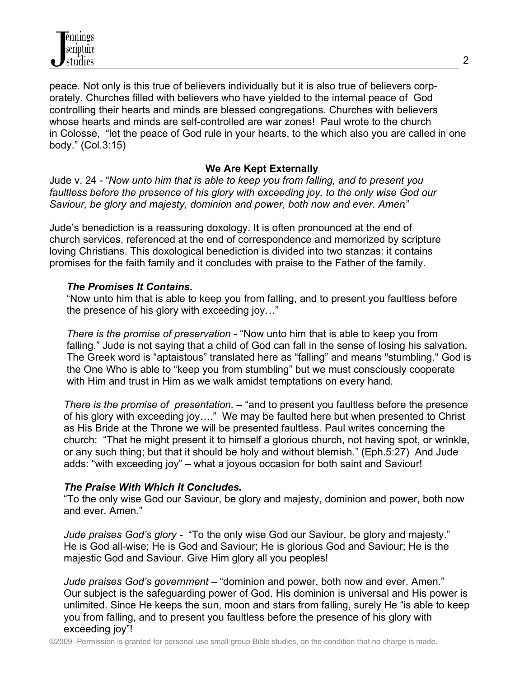peace. Not only is this true of believers individually but it is also true of believers corporately. Churches filled with believers who have yielded to the internal peace of God controlling their hearts and minds are blessed congregations. Churches with believers whose hearts and minds are self-controlled are war zones! Paul wrote to the church in Colosse, "let the peace of God rule in your hearts, to the which also you are called in one body." (Col.3:15)

# **We Are Kept Externally**

Jude v. 24 - "*Now unto him that is able to keep you from falling, and to present you faultless before the presence of his glory with exceeding joy, to the only wise God our Saviour, be glory and majesty, dominion and power, both now and ever. Amen*."

Jude's benediction is a reassuring doxology. It is often pronounced at the end of church services, referenced at the end of correspondence and memorized by scripture loving Christians. This doxological benediction is divided into two stanzas: it contains promises for the faith family and it concludes with praise to the Father of the family.

## *The Promises It Contains.*

 "Now unto him that is able to keep you from falling, and to present you faultless before the presence of his glory with exceeding joy…"

 *There is the promise of preservation* - "Now unto him that is able to keep you from falling." Jude is not saying that a child of God can fall in the sense of losing his salvation. The Greek word is "aptaistous" translated here as "falling" and means "stumbling." God is the One Who is able to "keep you from stumbling" but we must consciously cooperate with Him and trust in Him as we walk amidst temptations on every hand.

 *There is the promise of presentation.* – "and to present you faultless before the presence of his glory with exceeding joy…." We may be faulted here but when presented to Christ as His Bride at the Throne we will be presented faultless. Paul writes concerning the church: "That he might present it to himself a glorious church, not having spot, or wrinkle, or any such thing; but that it should be holy and without blemish." (Eph.5:27) And Jude adds: "with exceeding joy" – what a joyous occasion for both saint and Saviour!

## *The Praise With Which It Concludes***.**

 "To the only wise God our Saviour, be glory and majesty, dominion and power, both now and ever. Amen."

 *Jude praises God's glory -* "To the only wise God our Saviour, be glory and majesty." He is God all-wise; He is God and Saviour; He is glorious God and Saviour; He is the majestic God and Saviour. Give Him glory all you peoples!

 *Jude praises God's government* – "dominion and power, both now and ever. Amen." Our subject is the safeguarding power of God. His dominion is universal and His power is unlimited. Since He keeps the sun, moon and stars from falling, surely He "is able to keep you from falling, and to present you faultless before the presence of his glory with exceeding joy"!